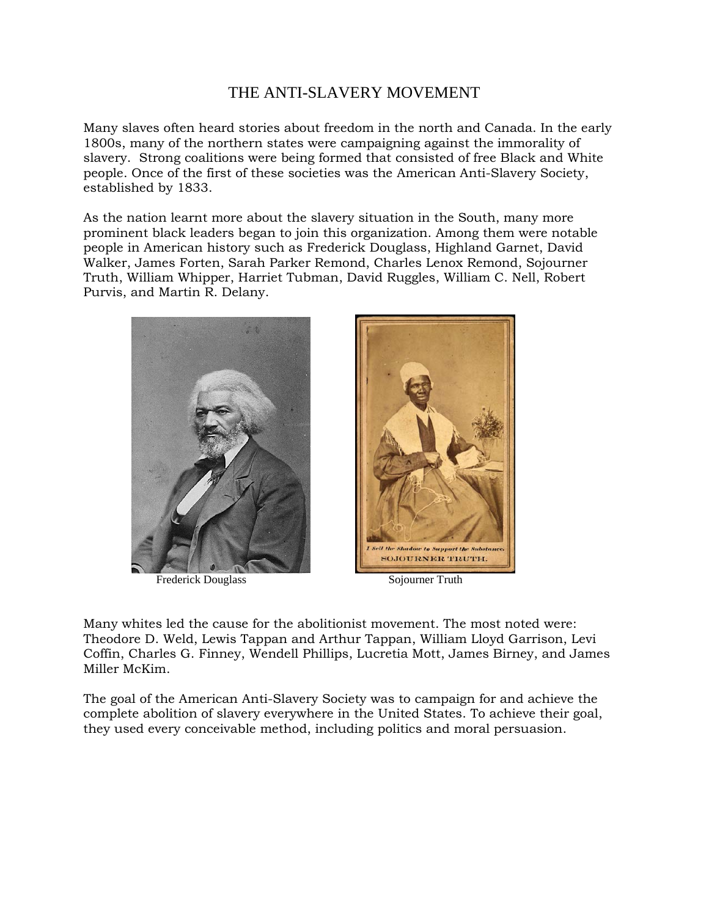## THE ANTI-SLAVERY MOVEMENT

Many slaves often heard stories about freedom in the north and Canada. In the early 1800s, many of the northern states were campaigning against the immorality of slavery. Strong coalitions were being formed that consisted of free Black and White people. Once of the first of these societies was the American Anti-Slavery Society, established by 1833.

As the nation learnt more about the slavery situation in the South, many more prominent black leaders began to join this organization. Among them were notable people in American history such as Frederick Douglass, Highland Garnet, David Walker, James Forten, Sarah Parker Remond, Charles Lenox Remond, Sojourner Truth, William Whipper, Harriet Tubman, David Ruggles, William C. Nell, Robert Purvis, and Martin R. Delany.



Frederick Douglass Sojourner Truth

Many whites led the cause for the abolitionist movement. The most noted were: Theodore D. Weld, Lewis Tappan and Arthur Tappan, William Lloyd Garrison, Levi Coffin, Charles G. Finney, Wendell Phillips, Lucretia Mott, James Birney, and James Miller McKim.

The goal of the American Anti-Slavery Society was to campaign for and achieve the complete abolition of slavery everywhere in the United States. To achieve their goal, they used every conceivable method, including politics and moral persuasion.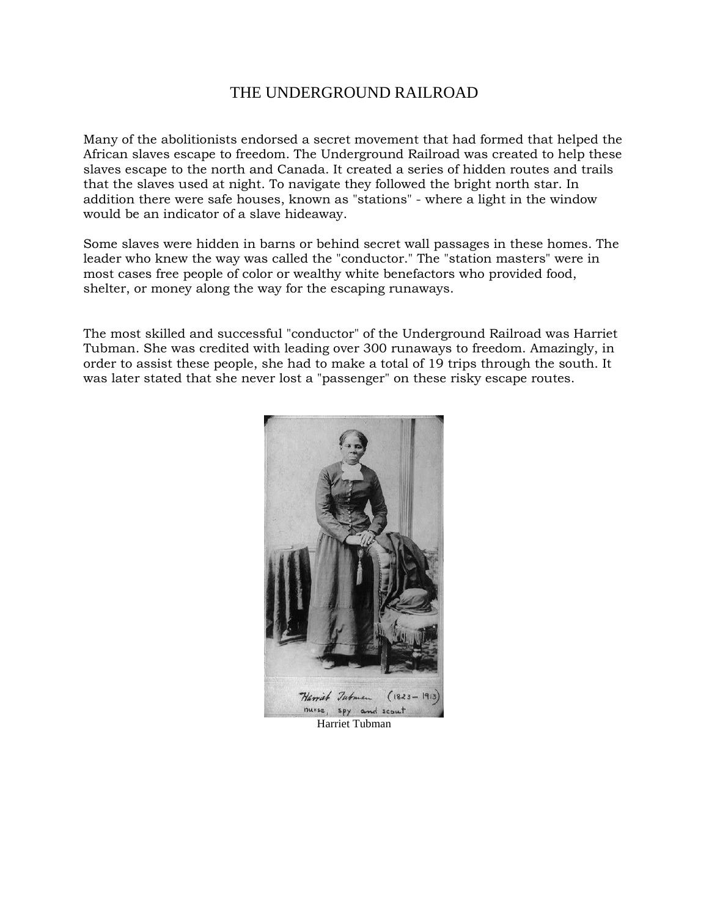## THE UNDERGROUND RAILROAD

Many of the abolitionists endorsed a secret movement that had formed that helped the African slaves escape to freedom. The Underground Railroad was created to help these slaves escape to the north and Canada. It created a series of hidden routes and trails that the slaves used at night. To navigate they followed the bright north star. In addition there were safe houses, known as "stations" - where a light in the window would be an indicator of a slave hideaway.

Some slaves were hidden in barns or behind secret wall passages in these homes. The leader who knew the way was called the "conductor." The "station masters" were in most cases free people of color or wealthy white benefactors who provided food, shelter, or money along the way for the escaping runaways.

The most skilled and successful "conductor" of the Underground Railroad was Harriet Tubman. She was credited with leading over 300 runaways to freedom. Amazingly, in order to assist these people, she had to make a total of 19 trips through the south. It was later stated that she never lost a "passenger" on these risky escape routes.



Harriet Tubman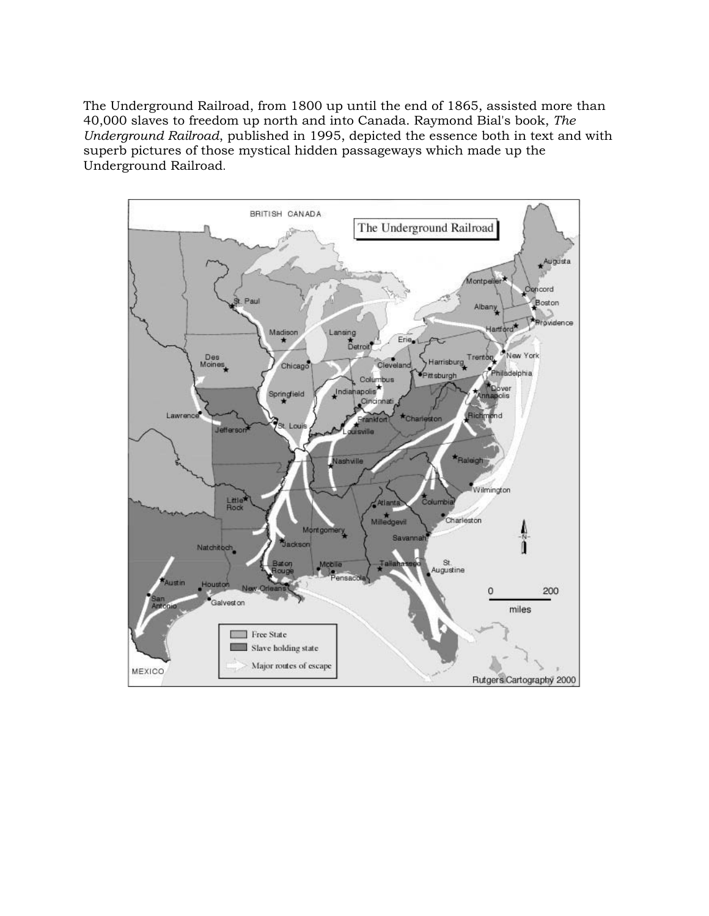The Underground Railroad, from 1800 up until the end of 1865, assisted more than 40,000 slaves to freedom up north and into Canada. Raymond Bial's book, *The Underground Railroad*, published in 1995, depicted the essence both in text and with superb pictures of those mystical hidden passageways which made up the Underground Railroad.